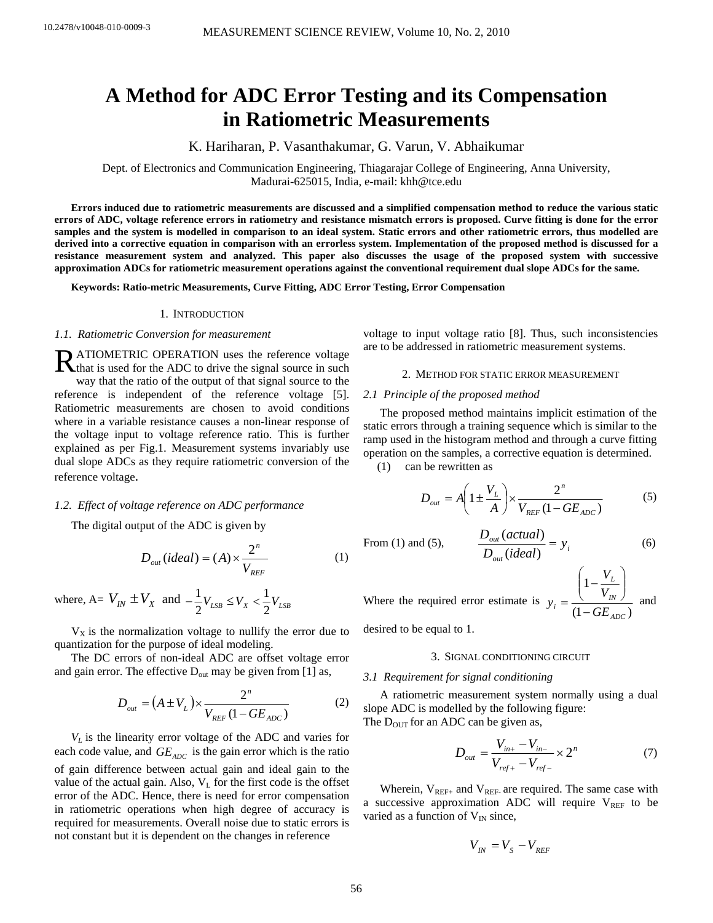# **A Method for ADC Error Testing and its Compensation in Ratiometric Measurements**

K. Hariharan, P. Vasanthakumar, G. Varun, V. Abhaikumar

Dept. of Electronics and Communication Engineering, Thiagarajar College of Engineering, Anna University, Madurai-625015, India, e-mail: khh@tce.edu

**Errors induced due to ratiometric measurements are discussed and a simplified compensation method to reduce the various static errors of ADC, voltage reference errors in ratiometry and resistance mismatch errors is proposed. Curve fitting is done for the error samples and the system is modelled in comparison to an ideal system. Static errors and other ratiometric errors, thus modelled are derived into a corrective equation in comparison with an errorless system. Implementation of the proposed method is discussed for a resistance measurement system and analyzed. This paper also discusses the usage of the proposed system with successive approximation ADCs for ratiometric measurement operations against the conventional requirement dual slope ADCs for the same.** 

**Keywords: Ratio-metric Measurements, Curve Fitting, ADC Error Testing, Error Compensation** 

## 1. INTRODUCTION

## *1.1. Ratiometric Conversion for measurement*

**ATIOMETRIC OPERATION** uses the reference voltage RATIOMETRIC OPERATION uses the reference voltage that is used for the ADC to drive the signal source in such way that the ratio of the output of that signal source to the reference is independent of the reference voltage [5]. Ratiometric measurements are chosen to avoid conditions where in a variable resistance causes a non-linear response of

the voltage input to voltage reference ratio. This is further explained as per Fig.1. Measurement systems invariably use dual slope ADCs as they require ratiometric conversion of the reference voltage.

## *1.2. Effect of voltage reference on ADC performance*

The digital output of the ADC is given by

$$
D_{out}(ideal) = (A) \times \frac{2^n}{V_{REF}} \tag{1}
$$

where,  $A = V_{IN} \pm V_X$  and  $-\frac{1}{2}V_{LSB} \le V_X < \frac{1}{2}V_{LSB}$ 2  $-\frac{1}{N}V_{ISR} \leq V_{Y}$ 

 $V_X$  is the normalization voltage to nullify the error due to quantization for the purpose of ideal modeling.

The DC errors of non-ideal ADC are offset voltage error and gain error. The effective  $D_{out}$  may be given from [1] as,

$$
D_{out} = (A \pm V_L) \times \frac{2^n}{V_{REF} (1 - GE_{ADC})}
$$
 (2)

*VL* is the linearity error voltage of the ADC and varies for each code value, and  $GE<sub>ADC</sub>$  is the gain error which is the ratio of gain difference between actual gain and ideal gain to the value of the actual gain. Also,  $V<sub>L</sub>$  for the first code is the offset error of the ADC. Hence, there is need for error compensation in ratiometric operations when high degree of accuracy is required for measurements. Overall noise due to static errors is not constant but it is dependent on the changes in reference

voltage to input voltage ratio [8]. Thus, such inconsistencies are to be addressed in ratiometric measurement systems.

## 2. METHOD FOR STATIC ERROR MEASUREMENT

## *2.1 Principle of the proposed method*

The proposed method maintains implicit estimation of the static errors through a training sequence which is similar to the ramp used in the histogram method and through a curve fitting operation on the samples, a corrective equation is determined.

(1) can be rewritten as

$$
D_{out} = A \left( 1 \pm \frac{V_L}{A} \right) \times \frac{2^n}{V_{REF} (1 - GE_{ADC})}
$$
 (5)

*V*

⎞

From (1) and (5), 
$$
\frac{D_{out}(actual)}{D_{out}(ideal)} = y_i
$$
 (6)

Where the required error estimate is  $(1-GE_{ADC})$ 1 *ADC IN L*  $i = (1 - GE)$ *V*  $y_i = \frac{1}{1 -}$  $\sqrt{ }$ ⎠  $\parallel$ ⎝  $\Bigg(1 =\frac{(N)N}{N}$  and

desired to be equal to 1.

## 3. SIGNAL CONDITIONING CIRCUIT

## *3.1 Requirement for signal conditioning*

A ratiometric measurement system normally using a dual slope ADC is modelled by the following figure: The  $D_{\text{OUT}}$  for an ADC can be given as,

$$
D_{out} = \frac{V_{in+} - V_{in-}}{V_{ref+} - V_{ref-}} \times 2^n
$$
 (7)

Wherein,  $V_{REF+}$  and  $V_{REF-}$  are required. The same case with a successive approximation ADC will require  $V_{REF}$  to be varied as a function of  $V_{IN}$  since,

$$
V_{IN} = V_{S} - V_{REF}
$$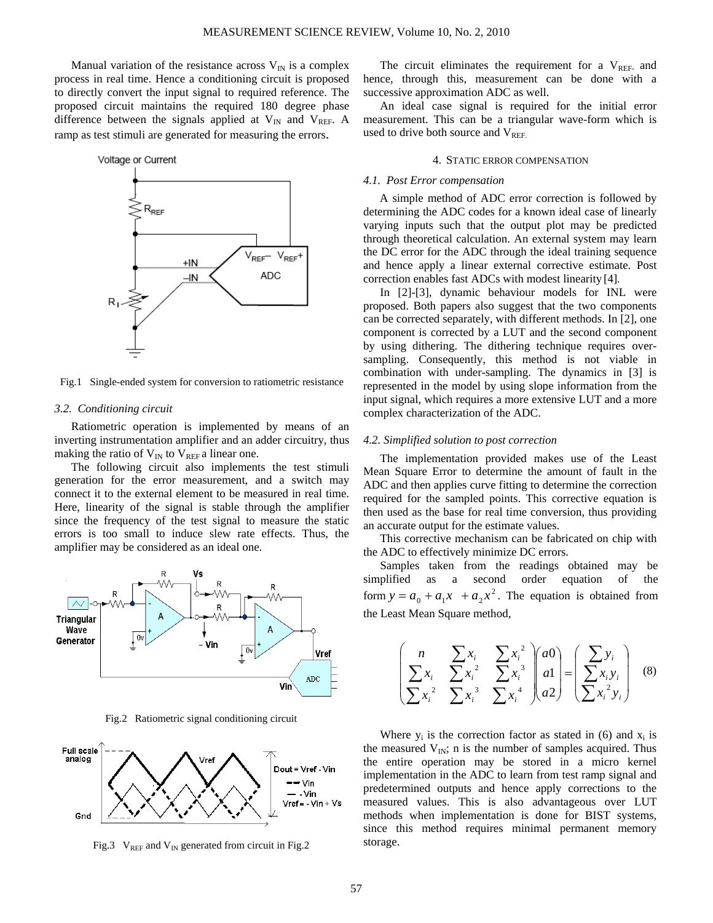Manual variation of the resistance across  $V_{IN}$  is a complex process in real time. Hence a conditioning circuit is proposed to directly convert the input signal to required reference. The proposed circuit maintains the required 180 degree phase difference between the signals applied at  $V_{IN}$  and  $V_{REF}$ . A ramp as test stimuli are generated for measuring the errors.



Fig.1 Single-ended system for conversion to ratiometric resistance

## *3.2. Conditioning circuit*

Ratiometric operation is implemented by means of an inverting instrumentation amplifier and an adder circuitry, thus making the ratio of  $V_{IN}$  to  $V_{REF}$  a linear one.

The following circuit also implements the test stimuli generation for the error measurement, and a switch may connect it to the external element to be measured in real time. Here, linearity of the signal is stable through the amplifier since the frequency of the test signal to measure the static errors is too small to induce slew rate effects. Thus, the amplifier may be considered as an ideal one.



Fig.2 Ratiometric signal conditioning circuit



Fig.3  $V_{REF}$  and  $V_{IN}$  generated from circuit in Fig.2

The circuit eliminates the requirement for a  $V_{REF}$  and hence, through this, measurement can be done with a successive approximation ADC as well.

An ideal case signal is required for the initial error measurement. This can be a triangular wave-form which is used to drive both source and  $V_{REF}$ .

# 4. STATIC ERROR COMPENSATION

## *4.1. Post Error compensation*

A simple method of ADC error correction is followed by determining the ADC codes for a known ideal case of linearly varying inputs such that the output plot may be predicted through theoretical calculation. An external system may learn the DC error for the ADC through the ideal training sequence and hence apply a linear external corrective estimate. Post correction enables fast ADCs with modest linearity [4]*.* 

In [2]-[3], dynamic behaviour models for INL were proposed. Both papers also suggest that the two components can be corrected separately, with different methods. In [2], one component is corrected by a LUT and the second component by using dithering. The dithering technique requires oversampling. Consequently, this method is not viable in combination with under-sampling. The dynamics in [3] is represented in the model by using slope information from the input signal, which requires a more extensive LUT and a more complex characterization of the ADC.

## *4.2. Simplified solution to post correction*

The implementation provided makes use of the Least Mean Square Error to determine the amount of fault in the ADC and then applies curve fitting to determine the correction required for the sampled points. This corrective equation is then used as the base for real time conversion, thus providing an accurate output for the estimate values.

This corrective mechanism can be fabricated on chip with the ADC to effectively minimize DC errors.

Samples taken from the readings obtained may be simplified as a second order equation of the form  $y = a_0 + a_1 x + a_2 x^2$ . The equation is obtained from the Least Mean Square method,

$$
\begin{pmatrix} n & \sum x_i & \sum x_i^2 \\ \sum x_i & \sum x_i^2 & \sum x_i^3 \\ \sum x_i^2 & \sum x_i^3 & \sum x_i^4 \end{pmatrix} \begin{pmatrix} a0 \\ a1 \\ a2 \end{pmatrix} = \begin{pmatrix} \sum y_i \\ \sum x_i y_i \\ \sum x_i^2 y_i \end{pmatrix}
$$
(8)

Where  $y_i$  is the correction factor as stated in (6) and  $x_i$  is the measured  $V_{IN}$ ; n is the number of samples acquired. Thus the entire operation may be stored in a micro kernel implementation in the ADC to learn from test ramp signal and predetermined outputs and hence apply corrections to the measured values. This is also advantageous over LUT methods when implementation is done for BIST systems, since this method requires minimal permanent memory storage.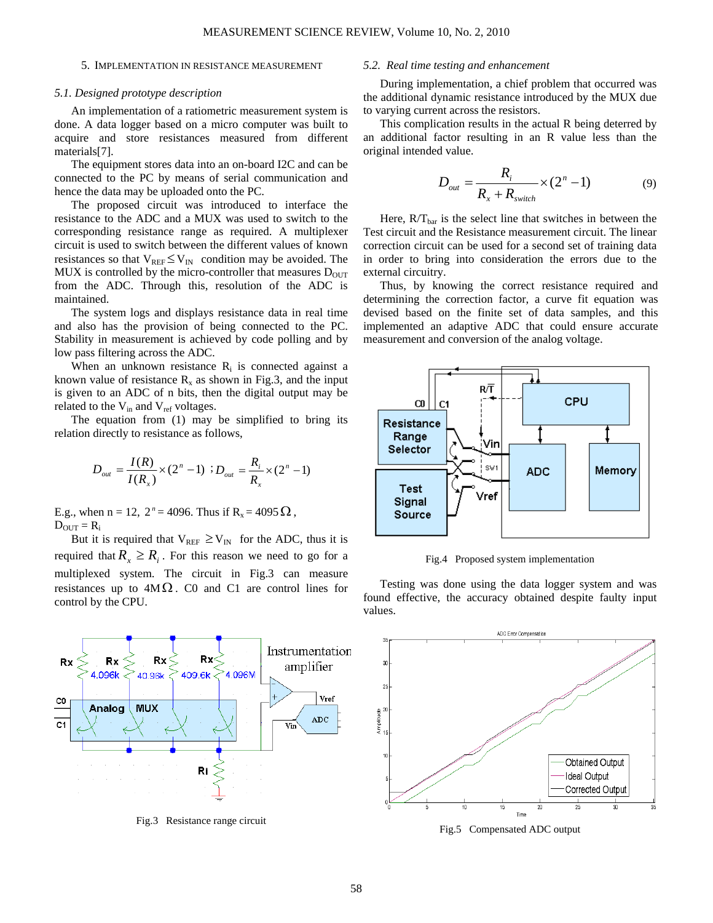## 5. IMPLEMENTATION IN RESISTANCE MEASUREMENT

# *5.1. Designed prototype description*

An implementation of a ratiometric measurement system is don e. A data logger based on a micro computer was built to acquire and store resistances measured from different materials[7].

The equipment stores data into an on-board I2C and can be con nected to the PC by means of serial communication and hence the data may be uploaded onto the PC.

The proposed circuit was introduced to interface the res istance to the ADC and a MUX was used to switch to the MUX is controlled by the micro-controller that measures  $D_{\text{OUT}}$ corresponding resistance range as required. A multiplexer circuit is used to switch between the different values of known resistances so that  $V_{REF} \leq V_{IN}$  condition may be avoided. The from the ADC. Through this, resolution of the ADC is maintained.

The system logs and displays resistance data in real time and also has the provision of being connected to the PC. Stability in measurement is achieved by code polling and by low pass filtering across the ADC.

When an unknown resistance  $R_i$  is connected against a known value of resistance  $R_x$  as shown in Fig.3, and the input is given to an ADC of n bits, then the digital output may be related to the  $V_{in}$  and  $V_{ref}$  voltages.

The equation from  $(1)$  may be simplified to bring its rela tion directly to resistance as follows,

$$
D_{out} = \frac{I(R)}{I(R_x)} \times (2^n - 1) \; ; D_{out} = \frac{R_i}{R_x} \times (2^n - 1)
$$

E.g., when  $n = 12$ ,  $2^n = 4096$ . Thus if  $R_x = 4095 \Omega$ ,  $D_{\text{OUT}} = R_i$ 

But it is required that  $V_{REF} \geq V_{IN}$  for the ADC, thus it is required that  $R_x \geq R_i$ . For this reason we need to go for a multiplexed system. The circuit in Fig.3 can measure resistances up to  $4M\Omega$ . C0 and C1 are control lines for control by the CPU.



Fig.3 Resistance range circuit

## *5.2. Real time testing and enhancement*

During implementation, a chief problem that occurred was the additional dynamic resistance introduced by the MUX due to v arying current across the resistors.

an additional factor resulting in an R value less than the ori ginal intended value. This complication results in the actual R being deterred by

$$
D_{out} = \frac{R_i}{R_x + R_{switch}} \times (2^n - 1) \tag{9}
$$

Here,  $R/T_{bar}$  is the select line that switches in between the Test circuit and the Resistance measurement circuit. The linear cor rection circuit can be used for a second set of training data in order to bring into consideration the errors due to the external circuitry.

determining the correction factor, a curve fit equation was dev ised based on the finite set of data samples, and this Thus, by knowing the correct resistance required and implemented an adaptive ADC that could ensure accurate measurement and conversion of the analog voltage.



Fig.4 Proposed system implementation

Testing was done using the data logger system and was found effective, the accuracy obtained despite faulty input val ues.



Fig.5 Compensated ADC output